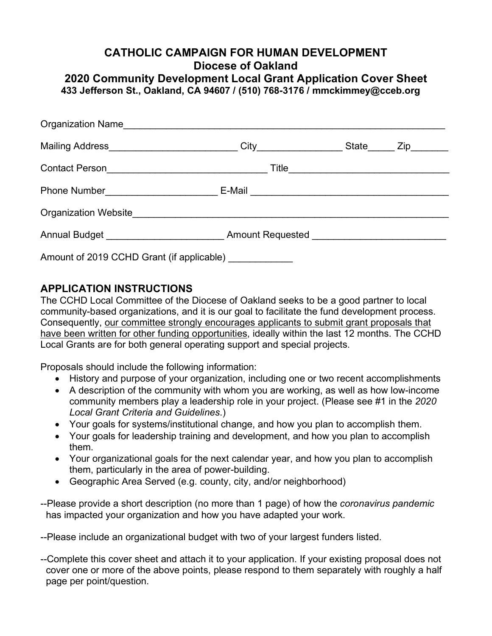## **CATHOLIC CAMPAIGN FOR HUMAN DEVELOPMENT Diocese of Oakland**

**2020 Community Development Local Grant Application Cover Sheet 433 Jefferson St., Oakland, CA 94607 / (510) 768-3176 / [mmckimmey@cceb.org](mailto:mmckimmey@cceb.org)**

|                                                                                  | $\text{City} \quad \overbrace{\hspace{25mm}}$ | State Zip |
|----------------------------------------------------------------------------------|-----------------------------------------------|-----------|
|                                                                                  |                                               |           |
|                                                                                  |                                               |           |
|                                                                                  |                                               |           |
| Annual Budget ___________________________Amount Requested ______________________ |                                               |           |
| Amount of 2019 CCHD Grant (if applicable) ___________                            |                                               |           |

## **APPLICATION INSTRUCTIONS**

The CCHD Local Committee of the Diocese of Oakland seeks to be a good partner to local community-based organizations, and it is our goal to facilitate the fund development process. Consequently, our committee strongly encourages applicants to submit grant proposals that have been written for other funding opportunities, ideally within the last 12 months. The CCHD Local Grants are for both general operating support and special projects.

Proposals should include the following information:

- History and purpose of your organization, including one or two recent accomplishments
- A description of the community with whom you are working, as well as how low-income community members play a leadership role in your project. (Please see #1 in the *2020 Local Grant Criteria and Guidelines*.)
- Your goals for systems/institutional change, and how you plan to accomplish them.
- Your goals for leadership training and development, and how you plan to accomplish them.
- Your organizational goals for the next calendar year, and how you plan to accomplish them, particularly in the area of power-building.
- Geographic Area Served (e.g. county, city, and/or neighborhood)
- --Please provide a short description (no more than 1 page) of how the *coronavirus pandemic* has impacted your organization and how you have adapted your work.
- --Please include an organizational budget with two of your largest funders listed.
- --Complete this cover sheet and attach it to your application. If your existing proposal does not cover one or more of the above points, please respond to them separately with roughly a half page per point/question.